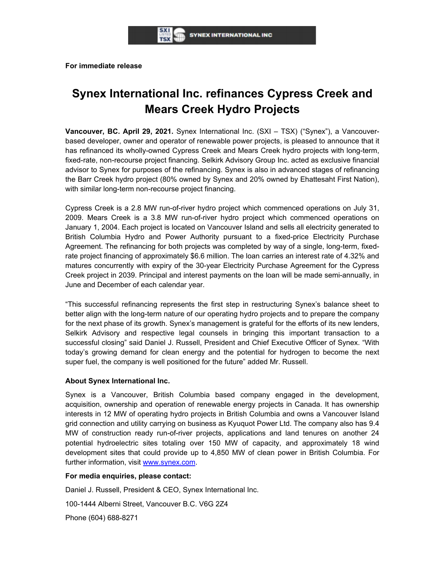**For immediate release** 

# **Synex International Inc. refinances Cypress Creek and Mears Creek Hydro Projects**

**Vancouver, BC. April 29, 2021.** Synex International Inc. (SXI – TSX) ("Synex"), a Vancouverbased developer, owner and operator of renewable power projects, is pleased to announce that it has refinanced its wholly-owned Cypress Creek and Mears Creek hydro projects with long-term, fixed-rate, non-recourse project financing. Selkirk Advisory Group Inc. acted as exclusive financial advisor to Synex for purposes of the refinancing. Synex is also in advanced stages of refinancing the Barr Creek hydro project (80% owned by Synex and 20% owned by Ehattesaht First Nation), with similar long-term non-recourse project financing.

Cypress Creek is a 2.8 MW run-of-river hydro project which commenced operations on July 31, 2009. Mears Creek is a 3.8 MW run-of-river hydro project which commenced operations on January 1, 2004. Each project is located on Vancouver Island and sells all electricity generated to British Columbia Hydro and Power Authority pursuant to a fixed-price Electricity Purchase Agreement. The refinancing for both projects was completed by way of a single, long-term, fixedrate project financing of approximately \$6.6 million. The loan carries an interest rate of 4.32% and matures concurrently with expiry of the 30-year Electricity Purchase Agreement for the Cypress Creek project in 2039. Principal and interest payments on the loan will be made semi-annually, in June and December of each calendar year.

"This successful refinancing represents the first step in restructuring Synex's balance sheet to better align with the long-term nature of our operating hydro projects and to prepare the company for the next phase of its growth. Synex's management is grateful for the efforts of its new lenders, Selkirk Advisory and respective legal counsels in bringing this important transaction to a successful closing" said Daniel J. Russell, President and Chief Executive Officer of Synex. "With today's growing demand for clean energy and the potential for hydrogen to become the next super fuel, the company is well positioned for the future" added Mr. Russell.

## **About Synex International Inc.**

Synex is a Vancouver, British Columbia based company engaged in the development, acquisition, ownership and operation of renewable energy projects in Canada. It has ownership interests in 12 MW of operating hydro projects in British Columbia and owns a Vancouver Island grid connection and utility carrying on business as Kyuquot Power Ltd. The company also has 9.4 MW of construction ready run-of-river projects, applications and land tenures on another 24 potential hydroelectric sites totaling over 150 MW of capacity, and approximately 18 wind development sites that could provide up to 4,850 MW of clean power in British Columbia. For further information, visit www.synex.com.

#### **For media enquiries, please contact:**

Daniel J. Russell, President & CEO, Synex International Inc.

100-1444 Alberni Street, Vancouver B.C. V6G 2Z4

Phone (604) 688-8271